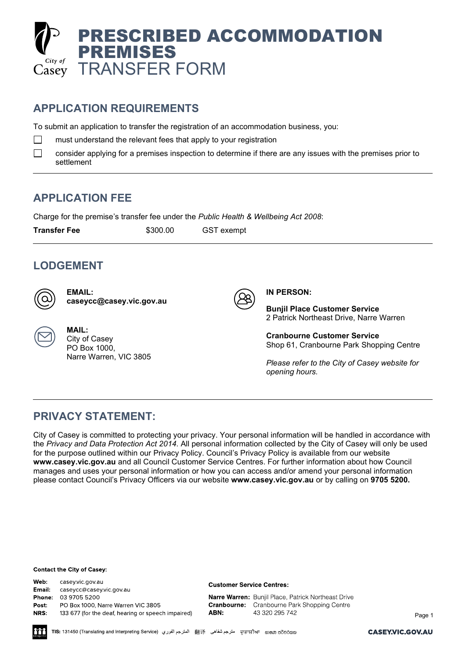

## **APPLICATION REQUIREMENTS**

To submit an application to transfer the registration of an accommodation business, you:

 $\Box$ must understand the relevant fees that apply to your registration

 $\Box$ consider applying for a premises inspection to determine if there are any issues with the premises prior to settlement

## **APPLICATION FEE**

Charge for the premise's transfer fee under the *Public Health & Wellbeing Act 2008*:

**Transfer Fee**  $$300.00$  GST exempt

### **LODGEMENT**

**MAIL:** City of Casey PO Box 1000,

**EMAIL: [caseycc@casey.vic.gov.au](mailto:caseycc@casey.vic.gov.au)**

Narre Warren, VIC 3805



**IN PERSON:**

**Bunjil Place Customer Service** 2 Patrick Northeast Drive, Narre Warren

**Cranbourne Customer Service** Shop 61, Cranbourne Park Shopping Centre

*Please refer to the City of Casey website for opening hours.* 

### **PRIVACY STATEMENT:**

City of Casey is committed to protecting your privacy. Your personal information will be handled in accordance with the *Privacy and Data Protection Act 2014*. All personal information collected by the City of Casey will only be used for the purpose outlined within our Privacy Policy. Council's Privacy Policy is available from our website **[www.casey.vic.gov.au](http://www.casey.vic.gov.au/)** and all Council Customer Service Centres. For further information about how Council manages and uses your personal information or how you can access and/or amend your personal information please contact Council's Privacy Officers via our website **[www.casey.vic.gov.au](http://www.casey.vic.gov.au/)** or by calling on **9705 5200.**

#### **Contact the City of Casey:**

Web: casey.vic.gov.au **Email:** caseycc@casey.vic.gov.au 03 9705 5200 Phone: PO Box 1000, Narre Warren VIC 3805 Post: NRS: 133 677 (for the deaf, hearing or speech impaired)

#### **Customer Service Centres:**

Narre Warren: Bunjil Place, Patrick Northeast Drive **Cranbourne:** Cranbourne Park Shopping Centre ABN: 43 320 295 742

Page 1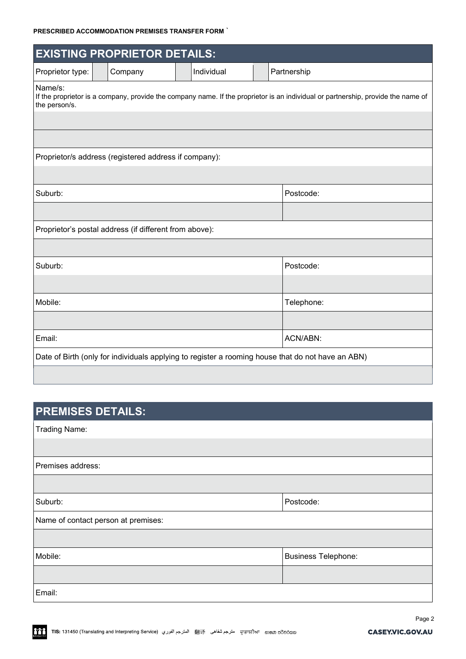### **PRESCRIBED ACCOMMODATION PREMISES TRANSFER FORM** `

| <b>EXISTING PROPRIETOR DETAILS:</b>                                                                                                                          |  |         |  |            |  |             |  |
|--------------------------------------------------------------------------------------------------------------------------------------------------------------|--|---------|--|------------|--|-------------|--|
| Proprietor type:                                                                                                                                             |  | Company |  | Individual |  | Partnership |  |
| Name/s:<br>If the proprietor is a company, provide the company name. If the proprietor is an individual or partnership, provide the name of<br>the person/s. |  |         |  |            |  |             |  |
|                                                                                                                                                              |  |         |  |            |  |             |  |
|                                                                                                                                                              |  |         |  |            |  |             |  |
| Proprietor/s address (registered address if company):                                                                                                        |  |         |  |            |  |             |  |
|                                                                                                                                                              |  |         |  |            |  |             |  |
| Suburb:                                                                                                                                                      |  |         |  |            |  | Postcode:   |  |
|                                                                                                                                                              |  |         |  |            |  |             |  |
| Proprietor's postal address (if different from above):                                                                                                       |  |         |  |            |  |             |  |
|                                                                                                                                                              |  |         |  |            |  |             |  |
| Suburb:                                                                                                                                                      |  |         |  |            |  | Postcode:   |  |
|                                                                                                                                                              |  |         |  |            |  |             |  |
| Mobile:                                                                                                                                                      |  |         |  | Telephone: |  |             |  |
|                                                                                                                                                              |  |         |  |            |  |             |  |
| ACN/ABN:<br>Email:                                                                                                                                           |  |         |  |            |  |             |  |
| Date of Birth (only for individuals applying to register a rooming house that do not have an ABN)                                                            |  |         |  |            |  |             |  |

# **PREMISES DETAILS:**

Trading Name:

| Premises address:                   |                            |  |  |  |  |
|-------------------------------------|----------------------------|--|--|--|--|
|                                     |                            |  |  |  |  |
| Suburb:                             | Postcode:                  |  |  |  |  |
| Name of contact person at premises: |                            |  |  |  |  |
|                                     |                            |  |  |  |  |
| Mobile:                             | <b>Business Telephone:</b> |  |  |  |  |
|                                     |                            |  |  |  |  |
| Email:                              |                            |  |  |  |  |